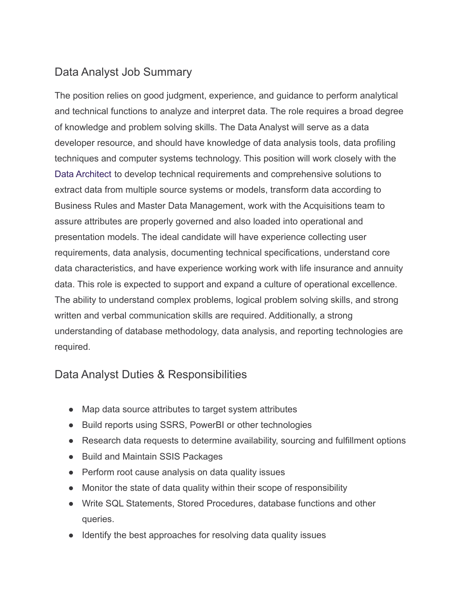# Data Analyst Job Summary

The position relies on good judgment, experience, and guidance to perform analytical and technical functions to analyze and interpret data. The role requires a broad degree of knowledge and problem solving skills. The Data Analyst will serve as a data developer resource, and should have knowledge of data analysis tools, data profiling techniques and computer systems technology. This position will work closely with the [Data Architect](https://100hires.com/data-architect-job-description.html) to develop technical requirements and comprehensive solutions to extract data from multiple source systems or models, transform data according to Business Rules and Master Data Management, work with the Acquisitions team to assure attributes are properly governed and also loaded into operational and presentation models. The ideal candidate will have experience collecting user requirements, data analysis, documenting technical specifications, understand core data characteristics, and have experience working work with life insurance and annuity data. This role is expected to support and expand a culture of operational excellence. The ability to understand complex problems, logical problem solving skills, and strong written and verbal communication skills are required. Additionally, a strong understanding of database methodology, data analysis, and reporting technologies are required.

### Data Analyst Duties & Responsibilities

- Map data source attributes to target system attributes
- Build reports using SSRS, PowerBI or other technologies
- Research data requests to determine availability, sourcing and fulfillment options
- Build and Maintain SSIS Packages
- Perform root cause analysis on data quality issues
- Monitor the state of data quality within their scope of responsibility
- Write SQL Statements, Stored Procedures, database functions and other queries.
- Identify the best approaches for resolving data quality issues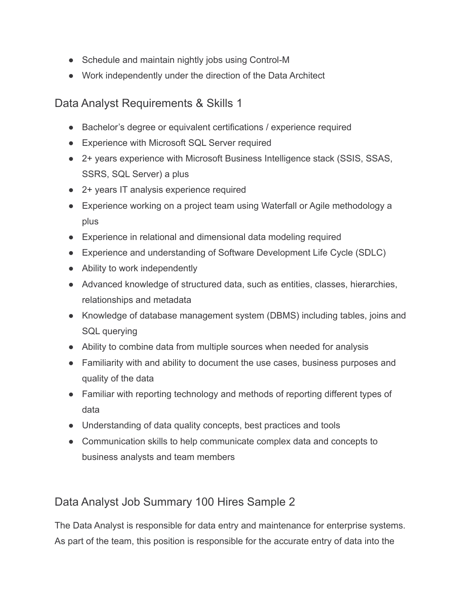- Schedule and maintain nightly jobs using Control-M
- Work independently under the direction of the Data Architect

### Data Analyst Requirements & Skills 1

- Bachelor's degree or equivalent certifications / experience required
- Experience with Microsoft SQL Server required
- 2+ years experience with Microsoft Business Intelligence stack (SSIS, SSAS, SSRS, SQL Server) a plus
- 2+ years IT analysis experience required
- Experience working on a project team using Waterfall or Agile methodology a plus
- Experience in relational and dimensional data modeling required
- Experience and understanding of Software Development Life Cycle (SDLC)
- Ability to work independently
- Advanced knowledge of structured data, such as entities, classes, hierarchies, relationships and metadata
- Knowledge of database management system (DBMS) including tables, joins and SQL querying
- Ability to combine data from multiple sources when needed for analysis
- Familiarity with and ability to document the use cases, business purposes and quality of the data
- Familiar with reporting technology and methods of reporting different types of data
- Understanding of data quality concepts, best practices and tools
- Communication skills to help communicate complex data and concepts to business analysts and team members

# Data Analyst Job Summary 100 Hires Sample 2

The Data Analyst is responsible for data entry and maintenance for enterprise systems. As part of the team, this position is responsible for the accurate entry of data into the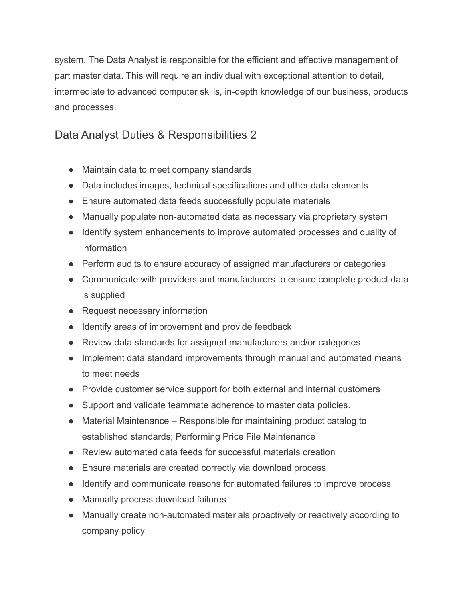system. The Data Analyst is responsible for the efficient and effective management of part master data. This will require an individual with exceptional attention to detail, intermediate to advanced computer skills, in-depth knowledge of our business, products and processes.

# Data Analyst Duties & Responsibilities 2

- Maintain data to meet company standards
- Data includes images, technical specifications and other data elements
- Ensure automated data feeds successfully populate materials
- Manually populate non-automated data as necessary via proprietary system
- Identify system enhancements to improve automated processes and quality of information
- Perform audits to ensure accuracy of assigned manufacturers or categories
- Communicate with providers and manufacturers to ensure complete product data is supplied
- Request necessary information
- Identify areas of improvement and provide feedback
- Review data standards for assigned manufacturers and/or categories
- Implement data standard improvements through manual and automated means to meet needs
- Provide customer service support for both external and internal customers
- Support and validate teammate adherence to master data policies.
- Material Maintenance Responsible for maintaining product catalog to established standards; Performing Price File Maintenance
- Review automated data feeds for successful materials creation
- Ensure materials are created correctly via download process
- Identify and communicate reasons for automated failures to improve process
- Manually process download failures
- Manually create non-automated materials proactively or reactively according to company policy